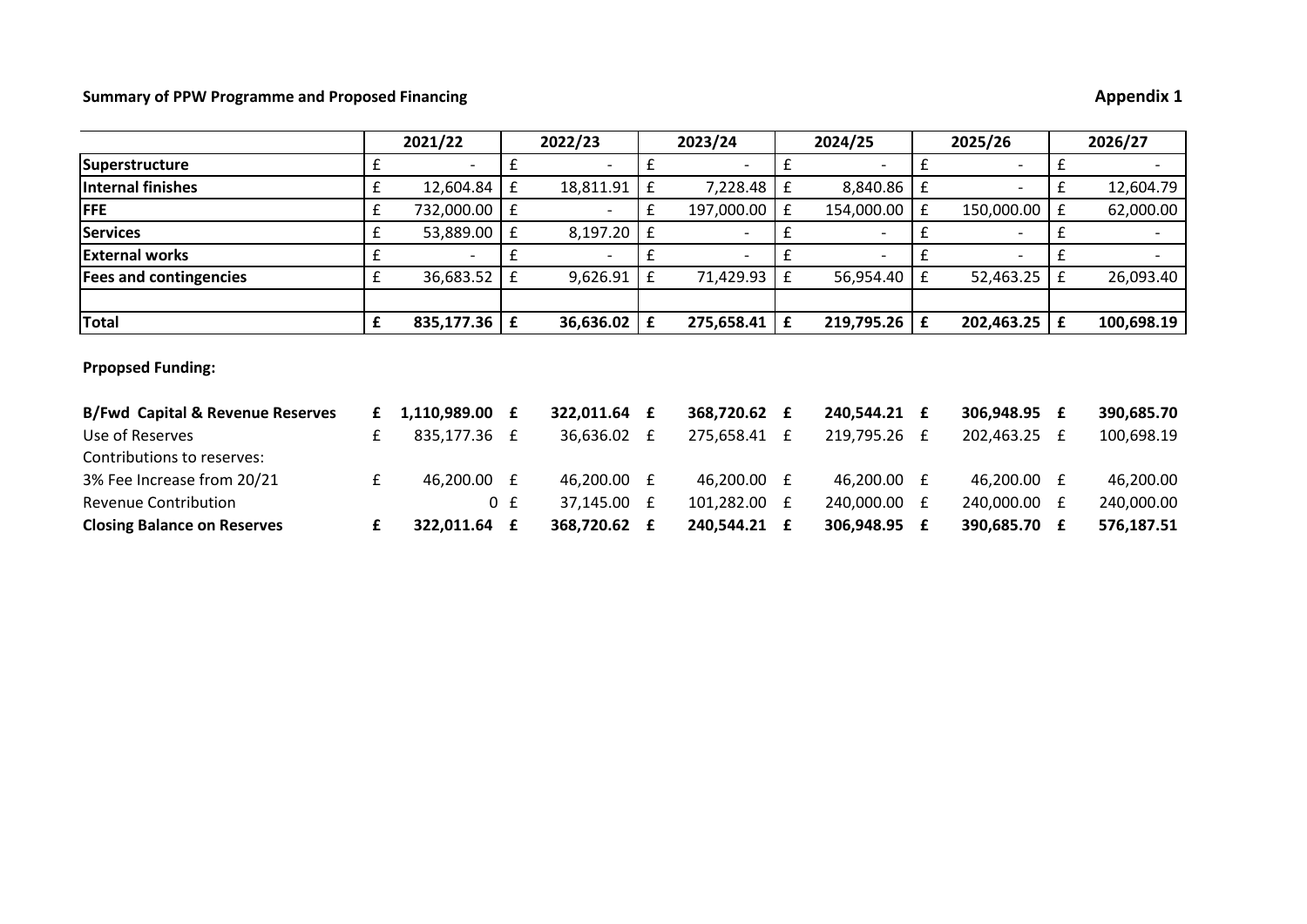# **Summary of PPW Programme and Proposed Financing**

| <b>Appendix 1</b> |  |
|-------------------|--|
|                   |  |

|                                             |   | 2021/22                  |     | 2022/23         |   | 2023/24                  |             | 2024/25                  |              | 2025/26                  |   | 2026/27                  |
|---------------------------------------------|---|--------------------------|-----|-----------------|---|--------------------------|-------------|--------------------------|--------------|--------------------------|---|--------------------------|
| Superstructure                              | £ |                          | £   |                 | £ |                          | £           | $\overline{\phantom{0}}$ | £            | $\overline{\phantom{0}}$ | £ |                          |
| Internal finishes                           | £ | 12,604.84                | £   | 18,811.91       | £ | 7,228.48                 | £           | 8,840.86                 | £            | $\overline{\phantom{a}}$ | £ | 12,604.79                |
| <b>FFE</b>                                  | £ | 732,000.00               | £   |                 | £ | 197,000.00               | £           | 154,000.00               | £            | 150,000.00               | £ | 62,000.00                |
| Services                                    | £ | 53,889.00                | £   | 8,197.20        | £ | $\overline{\phantom{a}}$ | £           | -                        |              | $\overline{\phantom{a}}$ | £ | $\overline{\phantom{a}}$ |
| <b>External works</b>                       | £ | $\overline{\phantom{a}}$ | £   |                 | £ | $\overline{\phantom{0}}$ | £           | $\overline{\phantom{0}}$ | $\mathbf{f}$ | $\overline{\phantom{a}}$ | £ | $\overline{\phantom{0}}$ |
| <b>Fees and contingencies</b>               | £ | 36,683.52                | £   | 9,626.91        | £ | 71,429.93                | £           | 56,954.40                | £            | 52,463.25                | £ | 26,093.40                |
| Total                                       | £ | 835,177.36               | £   | $36,636.02$   £ |   | 275,658.41               | $\mathbf f$ | $219,795.26$   £         |              | $202,463.25$   £         |   | 100,698.19               |
| <b>Prpopsed Funding:</b>                    |   |                          |     |                 |   |                          |             |                          |              |                          |   |                          |
| <b>B/Fwd Capital &amp; Revenue Reserves</b> | £ | 1,110,989.00             | £   | 322,011.64 £    |   | 368,720.62 £             |             | 240,544.21 £             |              | 306,948.95 £             |   | 390,685.70               |
| Use of Reserves                             | £ | 835,177.36 £             |     | 36,636.02 £     |   | 275,658.41 £             |             | 219,795.26 £             |              | 202,463.25 £             |   | 100,698.19               |
| Contributions to reserves:                  |   |                          |     |                 |   |                          |             |                          |              |                          |   |                          |
| 3% Fee Increase from 20/21                  | £ | 46,200.00 £              |     | 46,200.00 £     |   | 46,200.00 £              |             | 46,200.00 £              |              | 46,200.00 £              |   | 46,200.00                |
| <b>Revenue Contribution</b>                 |   |                          | 0 f | 37,145.00 £     |   | 101,282.00               | £           | 240,000.00 £             |              | 240,000.00 £             |   | 240,000.00               |
| <b>Closing Balance on Reserves</b>          | £ | 322,011.64               | £   | 368,720.62 £    |   | 240,544.21 £             |             | 306,948.95 £             |              | 390,685.70 £             |   | 576,187.51               |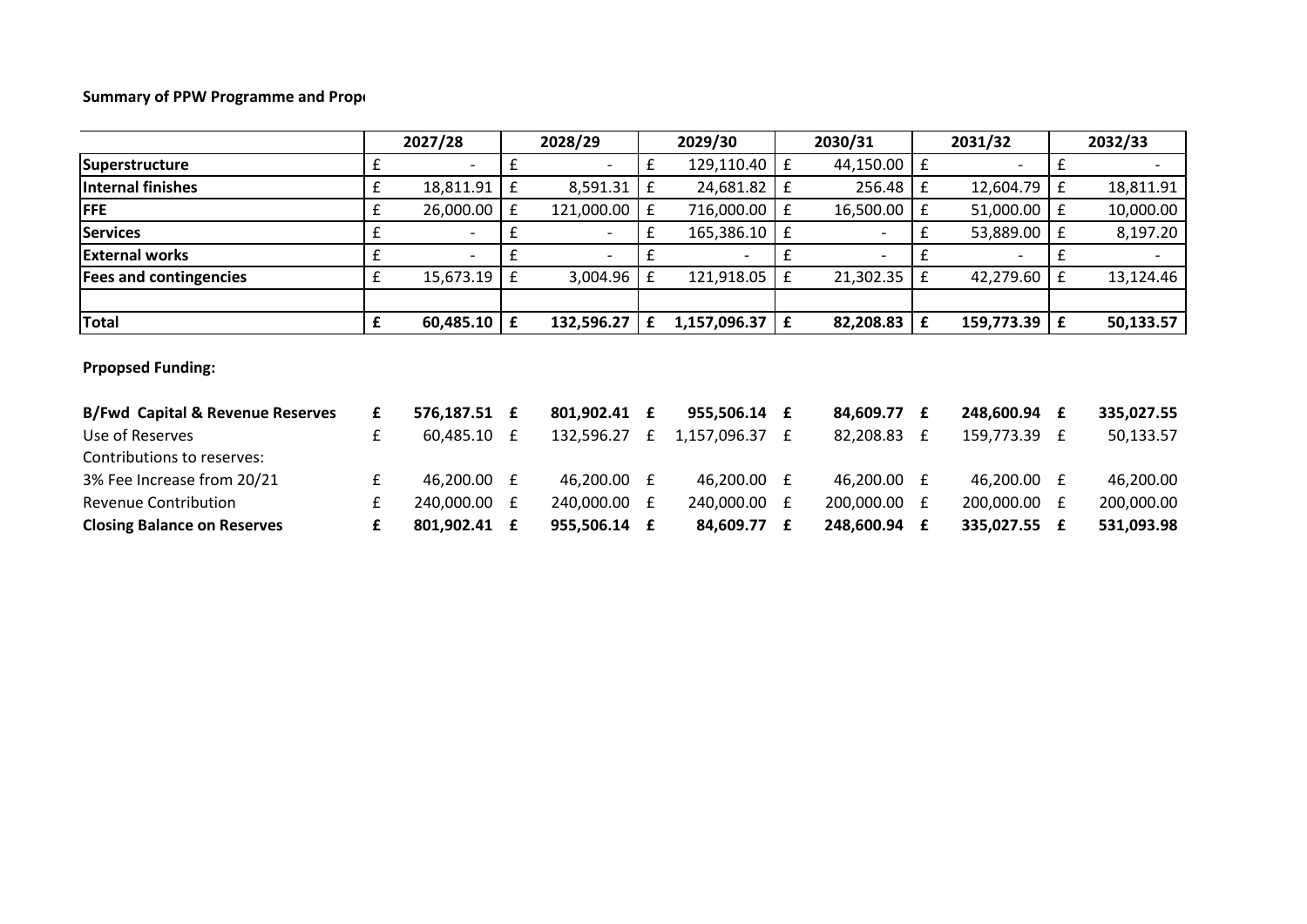# **Summary of PPW Programme and Propol**

|                                             |   | 2027/28        |                    | 2028/29                  |   | 2029/30        |   | 2030/31                  |   | 2031/32      |             | 2032/33    |
|---------------------------------------------|---|----------------|--------------------|--------------------------|---|----------------|---|--------------------------|---|--------------|-------------|------------|
| Superstructure                              | £ |                | £                  |                          | £ | 129,110.40     | £ | 44,150.00                | £ |              | £           |            |
| Internal finishes                           | £ | 18,811.91      | £                  | 8,591.31                 | £ | 24,681.82      | £ | 256.48                   | £ | 12,604.79    | £           | 18,811.91  |
| <b>FFE</b>                                  | £ | 26,000.00      | $\pmb{\mathsf{f}}$ | 121,000.00               | £ | 716,000.00     | £ | 16,500.00                | £ | 51,000.00    | £           | 10,000.00  |
| <b>Services</b>                             | £ |                | £                  | $\sim$                   | £ | 165,386.10     | £ | $\overline{\phantom{a}}$ | £ | 53,889.00    | $\mathbf f$ | 8,197.20   |
| <b>External works</b>                       | £ | $\blacksquare$ | £                  | $\overline{\phantom{0}}$ | £ | $\blacksquare$ | £ | $\overline{\phantom{0}}$ | £ |              | £           |            |
| <b>Fees and contingencies</b>               | £ | 15,673.19      | $\mathbf f$        | 3,004.96                 | £ | 121,918.05     | £ | 21,302.35                | £ | 42,279.60    | $\mathbf f$ | 13,124.46  |
|                                             |   |                |                    |                          |   |                |   |                          |   |              |             |            |
| <b>Total</b>                                | £ | 60,485.10      | £                  | 132,596.27               | £ | 1,157,096.37   | £ | 82,208.83                | £ | 159,773.39   | £           | 50,133.57  |
| <b>Prpopsed Funding:</b>                    |   |                |                    |                          |   |                |   |                          |   |              |             |            |
| <b>B/Fwd Capital &amp; Revenue Reserves</b> | £ | 576,187.51 £   |                    | 801,902.41 £             |   | 955,506.14 £   |   | 84,609.77 £              |   | 248,600.94 £ |             | 335,027.55 |
| Use of Reserves                             | £ | 60,485.10 £    |                    | 132,596.27               | £ | 1,157,096.37 £ |   | 82,208.83 £              |   | 159,773.39 £ |             | 50,133.57  |
| Contributions to reserves:                  |   |                |                    |                          |   |                |   |                          |   |              |             |            |
| 3% Fee Increase from 20/21                  | £ | 46,200.00      | £                  | 46,200.00 £              |   | 46,200.00 £    |   | 46,200.00 £              |   | 46,200.00 £  |             | 46,200.00  |
| <b>Revenue Contribution</b>                 | £ | 240,000.00     | £                  | 240,000.00 £             |   | 240,000.00 £   |   | 200,000.00               | £ | 200,000.00 £ |             | 200,000.00 |
| <b>Closing Balance on Reserves</b>          | £ | 801,902.41     | £                  | 955,506.14 £             |   | 84,609.77 £    |   | 248,600.94 £             |   | 335,027.55   | £           | 531,093.98 |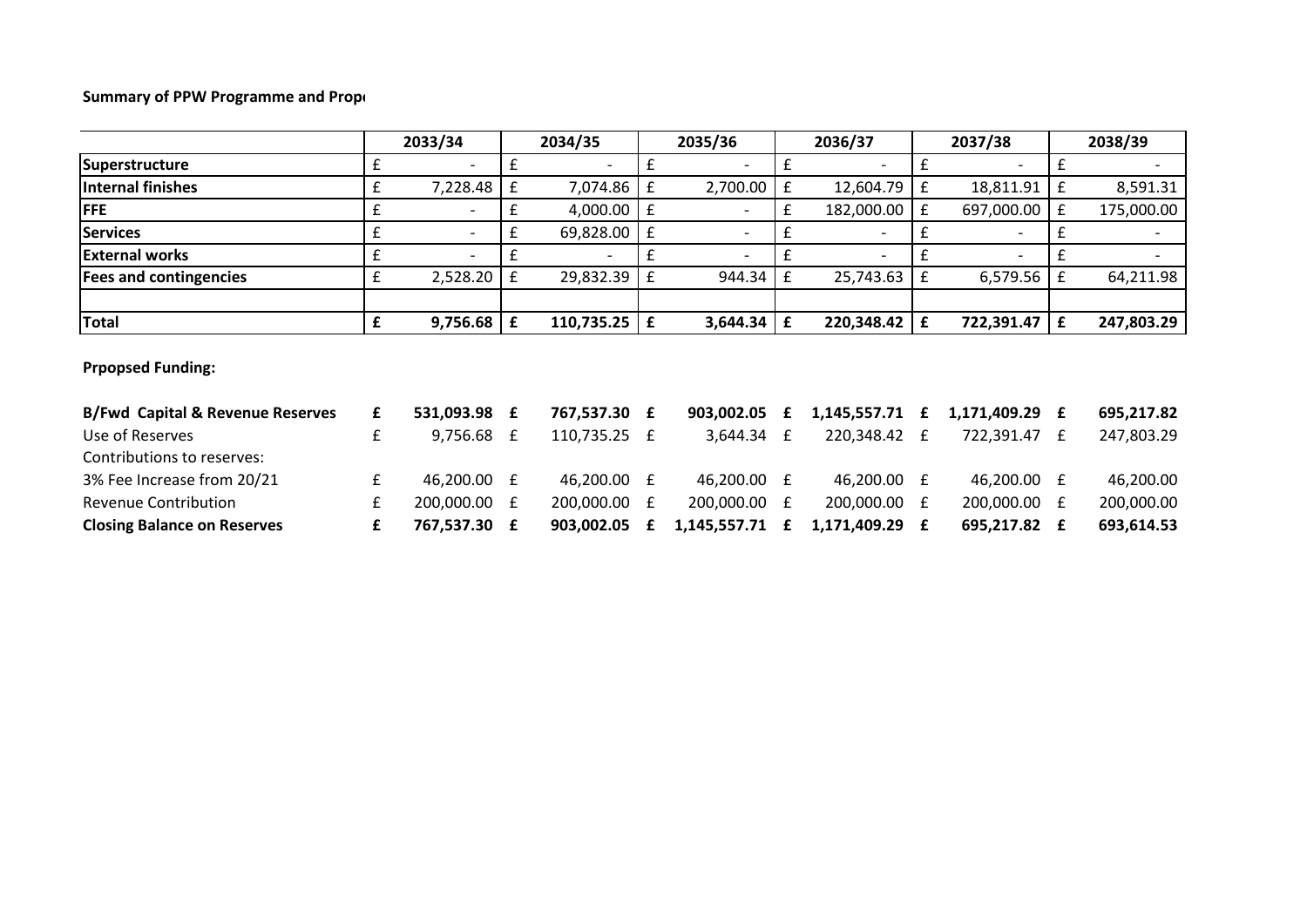# **Summary of PPW Programme and Propol**

|                                             |   | 2033/34                  |                    | 2034/35      |              | 2035/36                  |   | 2036/37                  |   | 2037/38      |             | 2038/39    |
|---------------------------------------------|---|--------------------------|--------------------|--------------|--------------|--------------------------|---|--------------------------|---|--------------|-------------|------------|
| Superstructure                              | £ |                          | £                  |              | £            | $\overline{\phantom{a}}$ | £ |                          | £ |              | £           |            |
| Internal finishes                           | £ | 7,228.48                 | $\pmb{\mathsf{f}}$ | 7,074.86     | £            | 2,700.00                 | £ | 12,604.79                | £ | 18,811.91    | £           | 8,591.31   |
| <b>FFE</b>                                  | £ |                          | £                  | 4,000.00     | $\mathbf f$  | $\overline{\phantom{a}}$ | £ | 182,000.00               | £ | 697,000.00   | ${\bf f}$   | 175,000.00 |
| <b>Services</b>                             | £ | $\overline{\phantom{a}}$ | £                  | 69,828.00    | Ι£           | $\overline{\phantom{a}}$ | £ | $\overline{\phantom{a}}$ | £ |              | £           |            |
| <b>External works</b>                       | £ |                          | £                  |              | f            | $\overline{\phantom{a}}$ | £ |                          |   |              | £           |            |
| <b>Fees and contingencies</b>               | £ | 2,528.20                 | $\mathbf f$        | 29,832.39    | $\mathbf{f}$ | 944.34                   | £ | 25,743.63                | £ | 6,579.56     | £           | 64,211.98  |
|                                             |   |                          |                    |              |              |                          |   |                          |   |              |             |            |
| Total                                       | £ | 9,756.68                 | £                  | 110,735.25   | f            | 3,644.34                 | £ | 220,348.42               | £ | 722,391.47   | $\mathbf f$ | 247,803.29 |
| <b>Prpopsed Funding:</b>                    |   |                          |                    |              |              |                          |   |                          |   |              |             |            |
| <b>B/Fwd Capital &amp; Revenue Reserves</b> | £ | 531,093.98 £             |                    | 767,537.30 £ |              | 903,002.05               | £ | 1,145,557.71             | £ | 1,171,409.29 | £           | 695,217.82 |
| Use of Reserves                             | £ | 9,756.68                 | £                  | 110,735.25 £ |              | $3,644.34$ £             |   | 220,348.42 £             |   | 722,391.47   | £           | 247,803.29 |
| Contributions to reserves:                  |   |                          |                    |              |              |                          |   |                          |   |              |             |            |
| 3% Fee Increase from 20/21                  | £ | 46,200.00 £              |                    | 46,200.00 £  |              | 46,200.00 £              |   | 46,200.00 £              |   | 46,200.00 £  |             | 46,200.00  |
| Revenue Contribution                        | £ | 200,000.00               | £                  | 200,000.00 £ |              | 200,000.00 £             |   | 200,000.00 £             |   | 200,000.00 £ |             | 200,000.00 |
| <b>Closing Balance on Reserves</b>          | £ | 767,537.30 £             |                    | 903,002.05   | £            | 1,145,557.71             | £ | 1,171,409.29             | £ | 695,217.82   | £           | 693,614.53 |